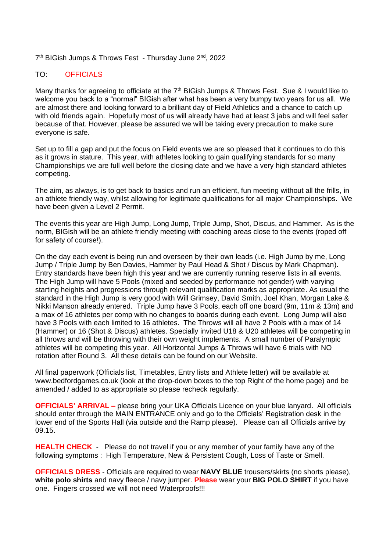## 7<sup>th</sup> BIGish Jumps & Throws Fest - Thursday June 2<sup>nd</sup>, 2022

## TO: OFFICIALS

Many thanks for agreeing to officiate at the  $7<sup>th</sup>$  BIGish Jumps & Throws Fest. Sue & I would like to welcome you back to a "normal" BIGish after what has been a very bumpy two years for us all. We are almost there and looking forward to a brilliant day of Field Athletics and a chance to catch up with old friends again. Hopefully most of us will already have had at least 3 jabs and will feel safer because of that. However, please be assured we will be taking every precaution to make sure everyone is safe.

Set up to fill a gap and put the focus on Field events we are so pleased that it continues to do this as it grows in stature. This year, with athletes looking to gain qualifying standards for so many Championships we are full well before the closing date and we have a very high standard athletes competing.

The aim, as always, is to get back to basics and run an efficient, fun meeting without all the frills, in an athlete friendly way, whilst allowing for legitimate qualifications for all major Championships. We have been given a Level 2 Permit.

The events this year are High Jump, Long Jump, Triple Jump, Shot, Discus, and Hammer. As is the norm, BIGish will be an athlete friendly meeting with coaching areas close to the events (roped off for safety of course!).

On the day each event is being run and overseen by their own leads (i.e. High Jump by me, Long Jump / Triple Jump by Ben Davies, Hammer by Paul Head & Shot / Discus by Mark Chapman). Entry standards have been high this year and we are currently running reserve lists in all events. The High Jump will have 5 Pools (mixed and seeded by performance not gender) with varying starting heights and progressions through relevant qualification marks as appropriate. As usual the standard in the High Jump is very good with Will Grimsey, David Smith, Joel Khan, Morgan Lake & Nikki Manson already entered. Triple Jump have 3 Pools, each off one board (9m, 11m & 13m) and a max of 16 athletes per comp with no changes to boards during each event. Long Jump will also have 3 Pools with each limited to 16 athletes. The Throws will all have 2 Pools with a max of 14 (Hammer) or 16 (Shot & Discus) athletes. Specially invited U18 & U20 athletes will be competing in all throws and will be throwing with their own weight implements. A small number of Paralympic athletes will be competing this year. All Horizontal Jumps & Throws will have 6 trials with NO rotation after Round 3. All these details can be found on our Website.

All final paperwork (Officials list, Timetables, Entry lists and Athlete letter) will be available at www.bedfordgames.co.uk (look at the drop-down boxes to the top Right of the home page) and be amended / added to as appropriate so please recheck regularly.

**OFFICIALS' ARRIVAL –** please bring your UKA Officials Licence on your blue lanyard. All officials should enter through the MAIN ENTRANCE only and go to the Officials' Registration desk in the lower end of the Sports Hall (via outside and the Ramp please). Please can all Officials arrive by 09.15.

**HEALTH CHECK** - Please do not travel if you or any member of your family have any of the following symptoms : High Temperature, New & Persistent Cough, Loss of Taste or Smell.

**OFFICIALS DRESS** - Officials are required to wear **NAVY BLUE** trousers/skirts (no shorts please), **white polo shirts** and navy fleece / navy jumper. **Please** wear your **BIG POLO SHIRT** if you have one. Fingers crossed we will not need Waterproofs!!!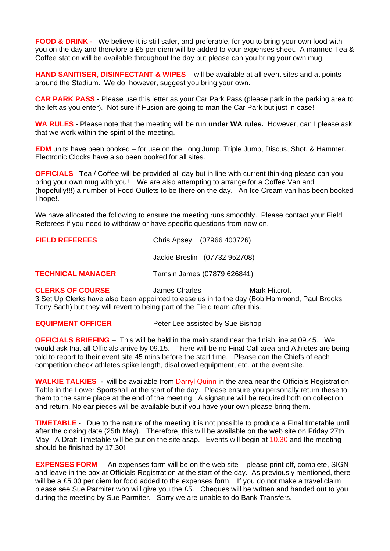**FOOD & DRINK -** We believe it is still safer, and preferable, for you to bring your own food with you on the day and therefore a £5 per diem will be added to your expenses sheet. A manned Tea & Coffee station will be available throughout the day but please can you bring your own mug.

**HAND SANITISER, DISINFECTANT & WIPES** – will be available at all event sites and at points around the Stadium. We do, however, suggest you bring your own.

**CAR PARK PASS** - Please use this letter as your Car Park Pass (please park in the parking area to the left as you enter). Not sure if Fusion are going to man the Car Park but just in case!

**WA RULES** - Please note that the meeting will be run **under WA rules.** However, can I please ask that we work within the spirit of the meeting.

**EDM** units have been booked – for use on the Long Jump, Triple Jump, Discus, Shot, & Hammer. Electronic Clocks have also been booked for all sites.

**OFFICIALS** Tea / Coffee will be provided all day but in line with current thinking please can you bring your own mug with you! We are also attempting to arrange for a Coffee Van and (hopefully!!!) a number of Food Outlets to be there on the day. An Ice Cream van has been booked I hope!.

We have allocated the following to ensure the meeting runs smoothly. Please contact your Field Referees if you need to withdraw or have specific questions from now on.

| <b>FIELD REFEREES</b>    | Chris Apsey (07966 403726)    |
|--------------------------|-------------------------------|
|                          | Jackie Breslin (07732 952708) |
| <b>TECHNICAL MANAGER</b> | Tamsin James (07879 626841)   |
| ALEBIZO AF CALIBOF       | $M -$<br>الممادحات مصمما      |

**CLERKS OF COURSE** James Charles **Mark Flitcroft** 3 Set Up Clerks have also been appointed to ease us in to the day (Bob Hammond, Paul Brooks Tony Sach) but they will revert to being part of the Field team after this.

**EQUIPMENT OFFICER** Peter Lee assisted by Sue Bishop

**OFFICIALS BRIEFING** – This will be held in the main stand near the finish line at 09.45. We would ask that all Officials arrive by 09.15. There will be no Final Call area and Athletes are being told to report to their event site 45 mins before the start time. Please can the Chiefs of each competition check athletes spike length, disallowed equipment, etc. at the event site.

**WALKIE TALKIES -** will be available from Darryl Quinn in the area near the Officials Registration Table in the Lower Sportshall at the start of the day. Please ensure you personally return these to them to the same place at the end of the meeting. A signature will be required both on collection and return. No ear pieces will be available but if you have your own please bring them.

**TIMETABLE** - Due to the nature of the meeting it is not possible to produce a Final timetable until after the closing date (25th May). Therefore, this will be available on the web site on Friday 27th May. A Draft Timetable will be put on the site asap. Events will begin at 10.30 and the meeting should be finished by 17.30!!

**EXPENSES FORM** - An expenses form will be on the web site – please print off, complete, SIGN and leave in the box at Officials Registration at the start of the day. As previously mentioned, there will be a £5.00 per diem for food added to the expenses form. If you do not make a travel claim please see Sue Parmiter who will give you the £5. Cheques will be written and handed out to you during the meeting by Sue Parmiter. Sorry we are unable to do Bank Transfers.